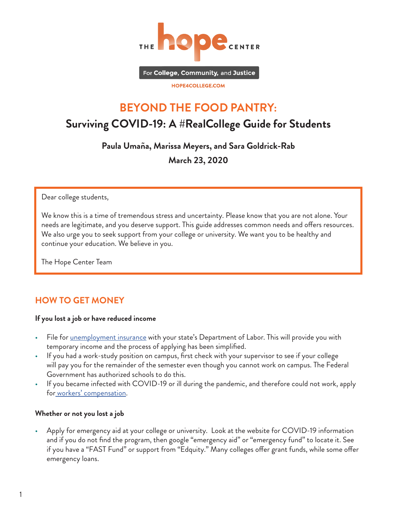

For College, Community, and Justice

HOPE4COLLEGE.COM

# **BEYOND THE FOOD PANTRY: Surviving COVID-19: A #RealCollege Guide for Students**

**Paula Umaña, Marissa Meyers, and Sara Goldrick-Rab March 23, 2020**

Dear college students,

We know this is a time of tremendous stress and uncertainty. Please know that you are not alone. Your needs are legitimate, and you deserve support. This guide addresses common needs and offers resources. We also urge you to seek support from your college or university. We want you to be healthy and continue your education. We believe in you.

The Hope Center Team

## **HOW TO GET MONEY**

#### **If you lost a job or have reduced income**

- File for [unemployment insurance](https://www.dol.gov/general/topic/unemployment-insurance) with your state's Department of Labor. This will provide you with temporary income and the process of applying has been simplified.
- If you had a work-study position on campus, first check with your supervisor to see if your college will pay you for the remainder of the semester even though you cannot work on campus. The Federal Government has authorized schools to do this.
- If you became infected with COVID-19 or ill during the pandemic, and therefore could not work, apply for [workers' compensation](https://www.dol.gov/owcp/dfec/).

#### **Whether or not you lost a job**

• Apply for emergency aid at your college or university. Look at the website for COVID-19 information and if you do not find the program, then google "emergency aid" or "emergency fund" to locate it. See if you have a "FAST Fund" or support from "Edquity." Many colleges offer grant funds, while some offer emergency loans.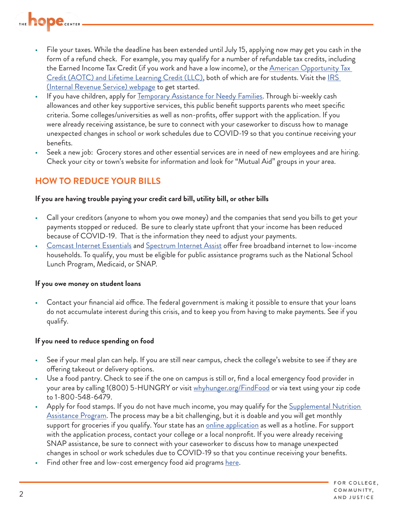

- File your taxes. While the deadline has been extended until July 15, applying now may get you cash in the form of a refund check. For example, you may qualify for a number of refundable tax credits, including the Earned Income Tax Credit (if you work and have a low income), or the <u>American Opportunity Tax</u> [Credit \(AOTC\) and Lifetime Learning Credit \(LLC\),](https://www.irs.gov/credits-deductions/individuals/education-credits-aotc-llc) both of which are for students. Visit the IRS [\(Internal Revenue Service\) webpage](https://www.irs.gov/e-file-providers/what-you-need-to-get-started) to get started.
- If you have children, apply for [Temporary Assistance for Needy Families.](https://www.benefits.gov/categories/Financial%20Assistance) Through bi-weekly cash allowances and other key supportive services, this public benefit supports parents who meet specific criteria. Some colleges/universities as well as non-profits, offer support with the application. If you were already receiving assistance, be sure to connect with your caseworker to discuss how to manage unexpected changes in school or work schedules due to COVID-19 so that you continue receiving your benefits.
- Seek a new job: Grocery stores and other essential services are in need of new employees and are hiring. Check your city or town's website for information and look for "Mutual Aid" groups in your area.

## **HOW TO REDUCE YOUR BILLS**

#### **If you are having trouble paying your credit card bill, utility bill, or other bills**

- Call your creditors (anyone to whom you owe money) and the companies that send you bills to get your payments stopped or reduced. Be sure to clearly state upfront that your income has been reduced because of COVID-19. That is the information they need to adjust your payments.
- [Comcast Internet Essentials](https://www.internetessentials.com/) and [Spectrum Internet Assist](https://www.spectrum.com/browse/content/spectrum-internet-assist) offer free broadband internet to low-income households. To qualify, you must be eligible for public assistance programs such as the National School Lunch Program, Medicaid, or SNAP.

#### **If you owe money on student loans**

• Contact your financial aid office. The federal government is making it possible to ensure that your loans do not accumulate interest during this crisis, and to keep you from having to make payments. See if you qualify.

#### **If you need to reduce spending on food**

- See if your meal plan can help. If you are still near campus, check the college's website to see if they are offering takeout or delivery options.
- Use a food pantry. Check to see if the one on campus is still or, find a local emergency food provider in your area by calling 1(800) 5-HUNGRY or visit [whyhunger.org/FindFood](https://whyhunger.org/find-food/) or via text using your zip code to 1-800-548-6479.
- Apply for food stamps. If you do not have much income, you may qualify for the Supplemental Nutrition [Assistance Program](https://www.usa.gov/food-help#item-35787). The process may be a bit challenging, but it is doable and you will get monthly support for groceries if you qualify. Your state has an *[online application](https://www.fns.usda.gov/snap/state-directory)* as well as a hotline. For support with the application process, contact your college or a local nonprofit. If you were already receiving SNAP assistance, be sure to connect with your caseworker to discuss how to manage unexpected changes in school or work schedules due to COVID-19 so that you continue receiving your benefits.
- Find other free and low-cost emergency food aid programs [here.](https://www.usa.gov/food-help)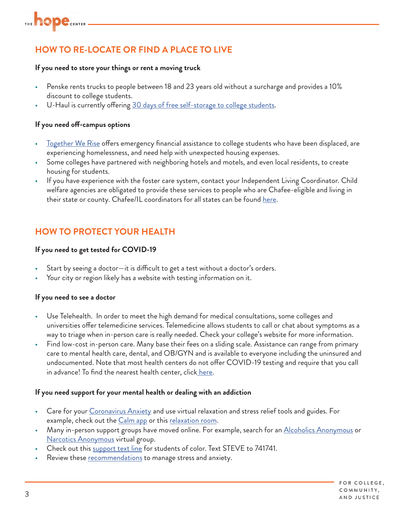## **HOW TO RE-LOCATE OR FIND A PLACE TO LIVE**

#### **If you need to store your things or rent a moving truck**

- Penske rents trucks to people between 18 and 23 years old without a surcharge and provides a 10% discount to college students.
- U-Haul is currently offering [30 days of free self-storage to college students](https://www.uhaul.com/Articles/About/20625/College-Students-U-Haul-Offers-30-Days-Free-Self-Storage-amid-Coronavirus-Outbreak/?utm_campaign=uhaulsm&utm_source=twitter&utm_medium=pr&utm_content=20200312-uhaulisoffering30).

#### **If you need off-campus options**

- [Together We Rise](https://www.togetherwerise.org/) offers emergency financial assistance to college students who have been displaced, are experiencing homelessness, and need help with unexpected housing expenses.
- Some colleges have partnered with neighboring hotels and motels, and even local residents, to create housing for students.
- If you have experience with the foster care system, contact your Independent Living Coordinator. Child welfare agencies are obligated to provide these services to people who are Chafee-eligible and living in their state or county. Chafee/IL coordinators for all states can be found [here](https://www.childwelfare.gov/organizations/?CWIGFunctionsaction=rols:main.dspList&rolType=Custom&RS_ID=145).

## **HOW TO PROTECT YOUR HEALTH**

#### **If you need to get tested for COVID-19**

- Start by seeing a doctor—it is difficult to get a test without a doctor's orders.
- Your city or region likely has a website with testing information on it.

#### **If you need to see a doctor**

- Use Telehealth. In order to meet the high demand for medical consultations, some colleges and universities offer telemedicine services. Telemedicine allows students to call or chat about symptoms as a way to triage when in-person care is really needed. Check your college's website for more information.
- Find low-cost in-person care. Many base their fees on a sliding scale. Assistance can range from primary care to mental health care, dental, and OB/GYN and is available to everyone including the uninsured and undocumented. Note that most health centers do not offer COVID-19 testing and require that you call in advance! To find the nearest health center, clic[k here.](https://www.fqhc.org/find-an-fqhc)

#### **If you need support for your mental health or dealing with an addiction**

- Care for your [Coronavirus Anxiety](https://www.virusanxiety.com/) and use virtual relaxation and stress relief tools and guides. For example, check out the [Calm app](https://www.calm.com/) or this [relaxation room](https://www.unr.edu/counseling/virtual-relaxation-room).
- Many in-person support groups have moved online. For example, search for an **Alcoholics Anonymous** or [Narcotics Anonymous](https://www.neveraloneclub.org/) virtual group.
- Check out this [support text line](https://www.stevefund.org/crisistextline/) for students of color. Text STEVE to 741741.
- Review these [recommendations](https://www.cdc.gov/coronavirus/2019-ncov/prepare/managing-stress-anxiety.html) to manage stress and anxiety.